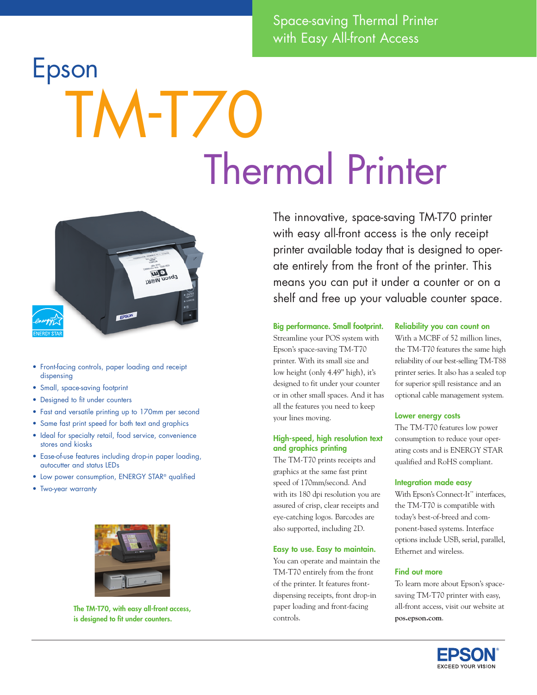Space-saving Thermal Printer with Easy All-front Access

# Epson TM-T70<br>Thermal Printer



- • Front-facing controls, paper loading and receipt dispensing
- Small, space-saving footprint
- Designed to fit under counters
- Fast and versatile printing up to 170mm per second
- Same fast print speed for both text and graphics
- Ideal for specialty retail, food service, convenience stores and kiosks
- Ease-of-use features including drop-in paper loading, autocutter and status LEDs
- Low power consumption, ENERGY STAR® qualified
- • Two-year warranty



The TM-T70, with easy all-front access, is designed to fit under counters.

The innovative, space-saving TM-T70 printer with easy all-front access is the only receipt printer available today that is designed to operate entirely from the front of the printer. This means you can put it under a counter or on a shelf and free up your valuable counter space.

### Big performance. Small footprint.

Streamline your POS system with Epson's space-saving TM-T70 printer. With its small size and low height (only 4.49" high), it's designed to fit under your counter or in other small spaces. And it has all the features you need to keep your lines moving.

# High-speed, high resolution text and graphics printing

The TM-T70 prints receipts and graphics at the same fast print speed of 170mm/second. And with its 180 dpi resolution you are assured of crisp, clear receipts and eye-catching logos. Barcodes are also supported, including 2D.

# Easy to use. Easy to maintain.

You can operate and maintain the TM-T70 entirely from the front of the printer. It features frontdispensing receipts, front drop-in paper loading and front-facing controls.

### Reliability you can count on

With a MCBF of 52 million lines, the TM-T70 features the same high reliability of our best-selling TM-T88 printer series. It also has a sealed top for superior spill resistance and an optional cable management system.

### Lower energy costs

The TM-T70 features low power consumption to reduce your operating costs and is ENERGY STAR qualified and RoHS compliant.

# Integration made easy

With Epson's Connect-It™ interfaces, the TM-T70 is compatible with today's best-of-breed and component-based systems. Interface options include USB, serial, parallel, Ethernet and wireless.

### Find out more

To learn more about Epson's spacesaving TM-T70 printer with easy, all-front access, visit our website at **pos.epson.com**.